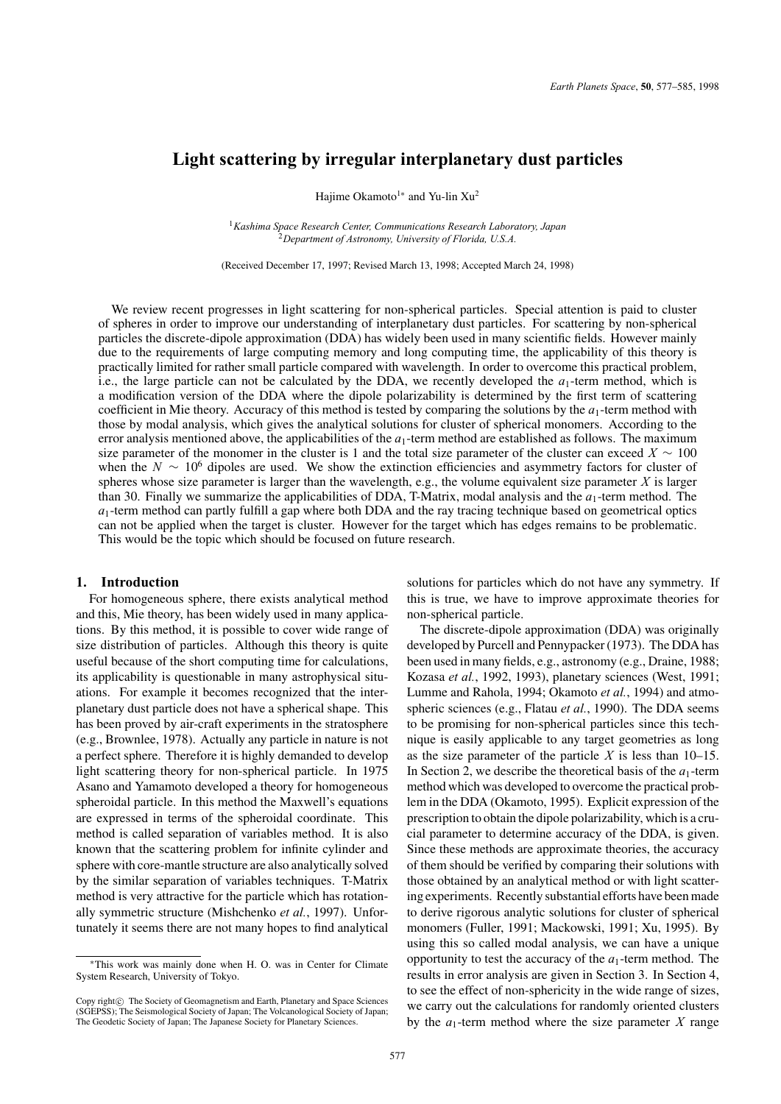# **Light scattering by irregular interplanetary dust particles**

Hajime Okamoto<sup>1∗</sup> and Yu-lin Xu<sup>2</sup>

<sup>1</sup>*Kashima Space Research Center, Communications Research Laboratory, Japan* <sup>2</sup>*Department of Astronomy, University of Florida, U.S.A.*

(Received December 17, 1997; Revised March 13, 1998; Accepted March 24, 1998)

We review recent progresses in light scattering for non-spherical particles. Special attention is paid to cluster of spheres in order to improve our understanding of interplanetary dust particles. For scattering by non-spherical particles the discrete-dipole approximation (DDA) has widely been used in many scientific fields. However mainly due to the requirements of large computing memory and long computing time, the applicability of this theory is practically limited for rather small particle compared with wavelength. In order to overcome this practical problem, i.e., the large particle can not be calculated by the DDA, we recently developed the  $a_1$ -term method, which is a modification version of the DDA where the dipole polarizability is determined by the first term of scattering coefficient in Mie theory. Accuracy of this method is tested by comparing the solutions by the *a*1-term method with those by modal analysis, which gives the analytical solutions for cluster of spherical monomers. According to the error analysis mentioned above, the applicabilities of the *a*1-term method are established as follows. The maximum size parameter of the monomer in the cluster is 1 and the total size parameter of the cluster can exceed  $X \sim 100$ when the  $N \sim 10^6$  dipoles are used. We show the extinction efficiencies and asymmetry factors for cluster of spheres whose size parameter is larger than the wavelength, e.g., the volume equivalent size parameter  $X$  is larger than 30. Finally we summarize the applicabilities of DDA, T-Matrix, modal analysis and the  $a_1$ -term method. The  $a_1$ -term method can partly fulfill a gap where both DDA and the ray tracing technique based on geometrical optics can not be applied when the target is cluster. However for the target which has edges remains to be problematic. This would be the topic which should be focused on future research.

## **1. Introduction**

For homogeneous sphere, there exists analytical method and this, Mie theory, has been widely used in many applications. By this method, it is possible to cover wide range of size distribution of particles. Although this theory is quite useful because of the short computing time for calculations, its applicability is questionable in many astrophysical situations. For example it becomes recognized that the interplanetary dust particle does not have a spherical shape. This has been proved by air-craft experiments in the stratosphere (e.g., Brownlee, 1978). Actually any particle in nature is not a perfect sphere. Therefore it is highly demanded to develop light scattering theory for non-spherical particle. In 1975 Asano and Yamamoto developed a theory for homogeneous spheroidal particle. In this method the Maxwell's equations are expressed in terms of the spheroidal coordinate. This method is called separation of variables method. It is also known that the scattering problem for infinite cylinder and sphere with core-mantle structure are also analytically solved by the similar separation of variables techniques. T-Matrix method is very attractive for the particle which has rotationally symmetric structure (Mishchenko *et al.*, 1997). Unfortunately it seems there are not many hopes to find analytical

solutions for particles which do not have any symmetry. If this is true, we have to improve approximate theories for non-spherical particle.

The discrete-dipole approximation (DDA) was originally developed by Purcell and Pennypacker (1973). The DDA has been used in many fields, e.g., astronomy (e.g., Draine, 1988; Kozasa *et al.*, 1992, 1993), planetary sciences (West, 1991; Lumme and Rahola, 1994; Okamoto *et al.*, 1994) and atmospheric sciences (e.g., Flatau *et al.*, 1990). The DDA seems to be promising for non-spherical particles since this technique is easily applicable to any target geometries as long as the size parameter of the particle *X* is less than 10–15. In Section 2, we describe the theoretical basis of the  $a_1$ -term method which was developed to overcome the practical problem in the DDA (Okamoto, 1995). Explicit expression of the prescription to obtain the dipole polarizability, which is a crucial parameter to determine accuracy of the DDA, is given. Since these methods are approximate theories, the accuracy of them should be verified by comparing their solutions with those obtained by an analytical method or with light scattering experiments. Recently substantial efforts have been made to derive rigorous analytic solutions for cluster of spherical monomers (Fuller, 1991; Mackowski, 1991; Xu, 1995). By using this so called modal analysis, we can have a unique opportunity to test the accuracy of the  $a_1$ -term method. The results in error analysis are given in Section 3. In Section 4, to see the effect of non-sphericity in the wide range of sizes, we carry out the calculations for randomly oriented clusters by the  $a_1$ -term method where the size parameter X range

<sup>∗</sup>This work was mainly done when H. O. was in Center for Climate System Research, University of Tokyo.

Copy right $\circ$  The Society of Geomagnetism and Earth, Planetary and Space Sciences (SGEPSS); The Seismological Society of Japan; The Volcanological Society of Japan; The Geodetic Society of Japan; The Japanese Society for Planetary Sciences.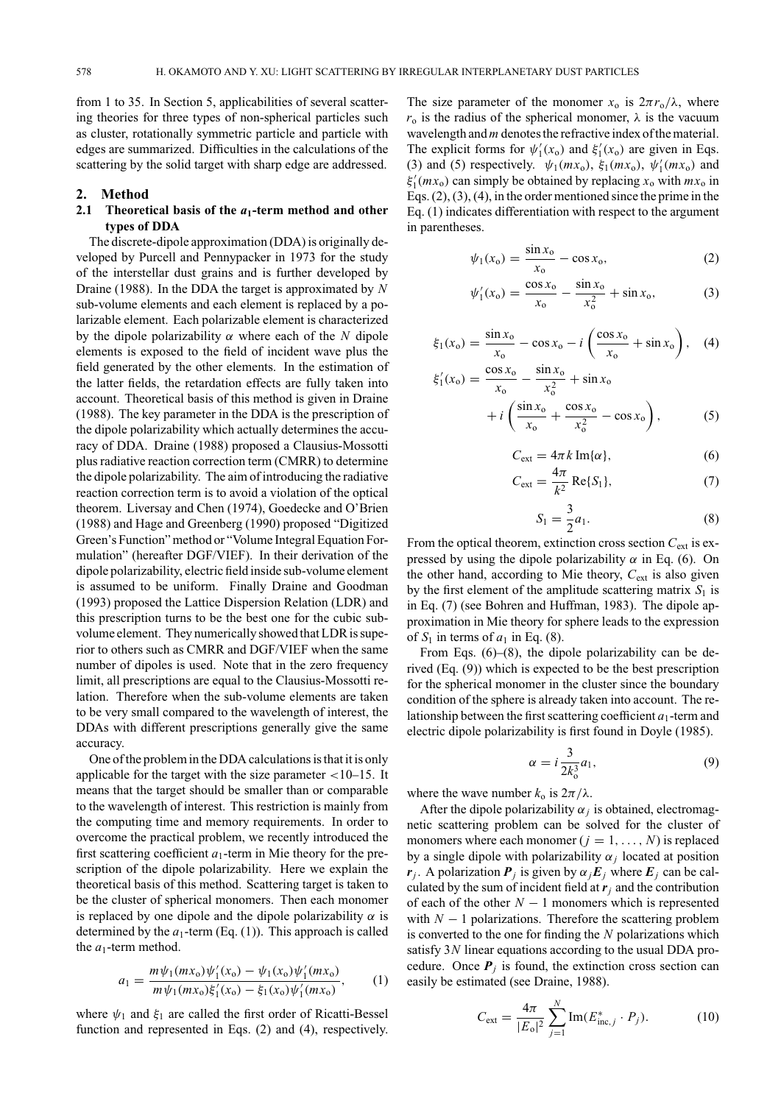from 1 to 35. In Section 5, applicabilities of several scattering theories for three types of non-spherical particles such as cluster, rotationally symmetric particle and particle with edges are summarized. Difficulties in the calculations of the scattering by the solid target with sharp edge are addressed.

#### **2. Method**

# **2.1 Theoretical basis of the** *a***1-term method and other types of DDA**

The discrete-dipole approximation (DDA) is originally developed by Purcell and Pennypacker in 1973 for the study of the interstellar dust grains and is further developed by Draine (1988). In the DDA the target is approximated by *N* sub-volume elements and each element is replaced by a polarizable element. Each polarizable element is characterized by the dipole polarizability  $\alpha$  where each of the *N* dipole elements is exposed to the field of incident wave plus the field generated by the other elements. In the estimation of the latter fields, the retardation effects are fully taken into account. Theoretical basis of this method is given in Draine (1988). The key parameter in the DDA is the prescription of the dipole polarizability which actually determines the accuracy of DDA. Draine (1988) proposed a Clausius-Mossotti plus radiative reaction correction term (CMRR) to determine the dipole polarizability. The aim of introducing the radiative reaction correction term is to avoid a violation of the optical theorem. Liversay and Chen (1974), Goedecke and O'Brien (1988) and Hage and Greenberg (1990) proposed "Digitized Green's Function"method or "Volume Integral Equation Formulation" (hereafter DGF/VIEF). In their derivation of the dipole polarizability, electric field inside sub-volume element is assumed to be uniform. Finally Draine and Goodman (1993) proposed the Lattice Dispersion Relation (LDR) and this prescription turns to be the best one for the cubic subvolume element. They numerically showed that LDR is superior to others such as CMRR and DGF/VIEF when the same number of dipoles is used. Note that in the zero frequency limit, all prescriptions are equal to the Clausius-Mossotti relation. Therefore when the sub-volume elements are taken to be very small compared to the wavelength of interest, the DDAs with different prescriptions generally give the same accuracy.

One of the problem in the DDA calculations is that it is only applicable for the target with the size parameter  $< 10-15$ . It means that the target should be smaller than or comparable to the wavelength of interest. This restriction is mainly from the computing time and memory requirements. In order to overcome the practical problem, we recently introduced the first scattering coefficient  $a_1$ -term in Mie theory for the prescription of the dipole polarizability. Here we explain the theoretical basis of this method. Scattering target is taken to be the cluster of spherical monomers. Then each monomer is replaced by one dipole and the dipole polarizability  $\alpha$  is determined by the  $a_1$ -term (Eq. (1)). This approach is called the  $a_1$ -term method.

$$
a_1 = \frac{m\psi_1(mx_0)\psi'_1(x_0) - \psi_1(x_0)\psi'_1(mx_0)}{m\psi_1(mx_0)\xi'_1(x_0) - \xi_1(x_0)\psi'_1(mx_0)},
$$
 (1)

where  $\psi_1$  and  $\xi_1$  are called the first order of Ricatti-Bessel function and represented in Eqs. (2) and (4), respectively. The size parameter of the monomer  $x_0$  is  $2\pi r_0/\lambda$ , where  $r_0$  is the radius of the spherical monomer,  $\lambda$  is the vacuum wavelength and*m* denotes the refractive index of the material. The explicit forms for  $\psi'_1(x_0)$  and  $\xi'_1(x_0)$  are given in Eqs. (3) and (5) respectively.  $\psi_1(mx_0)$ ,  $\xi_1(mx_0)$ ,  $\psi'_1(mx_0)$  and  $\xi_1'(mx_0)$  can simply be obtained by replacing  $x_0$  with  $mx_0$  in Eqs.  $(2)$ ,  $(3)$ ,  $(4)$ , in the order mentioned since the prime in the Eq. (1) indicates differentiation with respect to the argument in parentheses.

$$
\psi_1(x_0) = \frac{\sin x_0}{x_0} - \cos x_0,\tag{2}
$$

$$
\psi_1'(x_0) = \frac{\cos x_0}{x_0} - \frac{\sin x_0}{x_0^2} + \sin x_0,\tag{3}
$$

$$
\xi_1(x_0) = \frac{\sin x_0}{x_0} - \cos x_0 - i \left( \frac{\cos x_0}{x_0} + \sin x_0 \right), \quad (4)
$$

$$
\xi_1'(x_0) = \frac{\cos x_0}{x_0} - \frac{\sin x_0}{x_0^2} + \sin x_0
$$
  
+  $i \left( \frac{\sin x_0}{x_0} + \frac{\cos x_0}{x_0^2} - \cos x_0 \right),$  (5)

o

$$
C_{\text{ext}} = 4\pi k \operatorname{Im}\{\alpha\},\tag{6}
$$

$$
C_{\text{ext}} = \frac{4\pi}{k^2} \operatorname{Re}\{S_1\},\tag{7}
$$

$$
S_1 = \frac{3}{2}a_1.
$$
 (8)

From the optical theorem, extinction cross section  $C_{ext}$  is expressed by using the dipole polarizability  $\alpha$  in Eq. (6). On the other hand, according to Mie theory, *C*ext is also given by the first element of the amplitude scattering matrix  $S_1$  is in Eq. (7) (see Bohren and Huffman, 1983). The dipole approximation in Mie theory for sphere leads to the expression of  $S_1$  in terms of  $a_1$  in Eq. (8).

From Eqs.  $(6)$ – $(8)$ , the dipole polarizability can be derived (Eq. (9)) which is expected to be the best prescription for the spherical monomer in the cluster since the boundary condition of the sphere is already taken into account. The relationship between the first scattering coefficient *a*1-term and electric dipole polarizability is first found in Doyle (1985).

$$
\alpha = i \frac{3}{2k_0^3} a_1,\tag{9}
$$

where the wave number  $k_0$  is  $2\pi/\lambda$ .

After the dipole polarizability  $\alpha_j$  is obtained, electromagnetic scattering problem can be solved for the cluster of monomers where each monomer  $(j = 1, ..., N)$  is replaced by a single dipole with polarizability  $\alpha_i$  located at position *r*<sub>*j*</sub>. A polarization  $P_i$  is given by  $\alpha_i E_j$  where  $E_j$  can be calculated by the sum of incident field at  $r_i$  and the contribution of each of the other *N* − 1 monomers which is represented with  $N-1$  polarizations. Therefore the scattering problem is converted to the one for finding the *N* polarizations which satisfy 3*N* linear equations according to the usual DDA procedure. Once  $P_j$  is found, the extinction cross section can easily be estimated (see Draine, 1988).

$$
C_{\text{ext}} = \frac{4\pi}{|E_0|^2} \sum_{j=1}^{N} \text{Im}(E_{\text{inc},j}^* \cdot P_j). \tag{10}
$$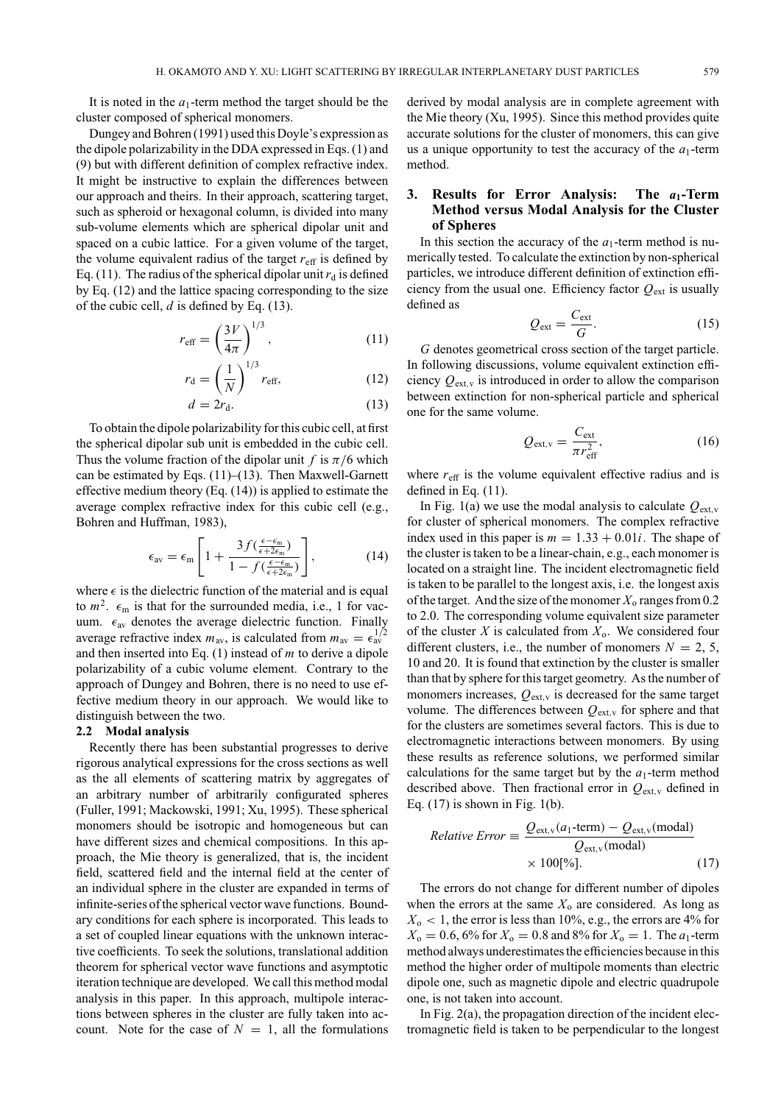It is noted in the  $a_1$ -term method the target should be the cluster composed of spherical monomers.

Dungey and Bohren (1991) used this Doyle's expression as the dipole polarizability in the DDA expressed in Eqs. (1) and (9) but with different definition of complex refractive index. It might be instructive to explain the differences between our approach and theirs. In their approach, scattering target, such as spheroid or hexagonal column, is divided into many sub-volume elements which are spherical dipolar unit and spaced on a cubic lattice. For a given volume of the target, the volume equivalent radius of the target  $r_{\text{eff}}$  is defined by Eq. (11). The radius of the spherical dipolar unit  $r_d$  is defined by Eq. (12) and the lattice spacing corresponding to the size of the cubic cell, *d* is defined by Eq. (13).

$$
r_{\text{eff}} = \left(\frac{3V}{4\pi}\right)^{1/3},\tag{11}
$$

$$
r_{\rm d} = \left(\frac{1}{N}\right)^{1/3} r_{\rm eff},\tag{12}
$$

$$
d = 2r_{d}.\tag{13}
$$

To obtain the dipole polarizability for this cubic cell, at first the spherical dipolar sub unit is embedded in the cubic cell. Thus the volume fraction of the dipolar unit *f* is  $\pi/6$  which can be estimated by Eqs. (11)–(13). Then Maxwell-Garnett effective medium theory (Eq. (14)) is applied to estimate the average complex refractive index for this cubic cell (e.g., Bohren and Huffman, 1983),

$$
\epsilon_{\text{av}} = \epsilon_{\text{m}} \left[ 1 + \frac{3 f\left(\frac{\epsilon - \epsilon_{\text{m}}}{\epsilon + 2\epsilon_{\text{m}}}\right)}{1 - f\left(\frac{\epsilon - \epsilon_{\text{m}}}{\epsilon + 2\epsilon_{\text{m}}}\right)} \right],\tag{14}
$$

where  $\epsilon$  is the dielectric function of the material and is equal to  $m^2$ .  $\epsilon_m$  is that for the surrounded media, i.e., 1 for vacuum.  $\epsilon_{av}$  denotes the average dielectric function. Finally average refractive index  $m_{\text{av}}$ , is calculated from  $m_{\text{av}} = \epsilon_{\text{av}}^{1/2}$ and then inserted into Eq. (1) instead of *m* to derive a dipole polarizability of a cubic volume element. Contrary to the approach of Dungey and Bohren, there is no need to use effective medium theory in our approach. We would like to distinguish between the two.

#### **2.2 Modal analysis**

Recently there has been substantial progresses to derive rigorous analytical expressions for the cross sections as well as the all elements of scattering matrix by aggregates of an arbitrary number of arbitrarily configurated spheres (Fuller, 1991; Mackowski, 1991; Xu, 1995). These spherical monomers should be isotropic and homogeneous but can have different sizes and chemical compositions. In this approach, the Mie theory is generalized, that is, the incident field, scattered field and the internal field at the center of an individual sphere in the cluster are expanded in terms of infinite-series of the spherical vector wave functions. Boundary conditions for each sphere is incorporated. This leads to a set of coupled linear equations with the unknown interactive coefficients. To seek the solutions, translational addition theorem for spherical vector wave functions and asymptotic iteration technique are developed. We call this method modal analysis in this paper. In this approach, multipole interactions between spheres in the cluster are fully taken into account. Note for the case of  $N = 1$ , all the formulations

derived by modal analysis are in complete agreement with the Mie theory (Xu, 1995). Since this method provides quite accurate solutions for the cluster of monomers, this can give us a unique opportunity to test the accuracy of the  $a_1$ -term method.

## **3. Results for Error Analysis: The** *a***1-Term Method versus Modal Analysis for the Cluster of Spheres**

In this section the accuracy of the  $a_1$ -term method is numerically tested. To calculate the extinction by non-spherical particles, we introduce different definition of extinction efficiency from the usual one. Efficiency factor  $Q_{ext}$  is usually defined as

$$
Q_{\text{ext}} = \frac{C_{\text{ext}}}{G}.
$$
 (15)

*G* denotes geometrical cross section of the target particle. In following discussions, volume equivalent extinction efficiency  $Q_{\text{ext}}$  is introduced in order to allow the comparison between extinction for non-spherical particle and spherical one for the same volume.

$$
Q_{\text{ext},v} = \frac{C_{\text{ext}}}{\pi r_{\text{eff}}^2},\tag{16}
$$

where  $r_{\text{eff}}$  is the volume equivalent effective radius and is defined in Eq. (11).

In Fig. 1(a) we use the modal analysis to calculate  $Q_{ext,v}$ for cluster of spherical monomers. The complex refractive index used in this paper is  $m = 1.33 + 0.01i$ . The shape of the cluster is taken to be a linear-chain, e.g., each monomer is located on a straight line. The incident electromagnetic field is taken to be parallel to the longest axis, i.e. the longest axis of the target. And the size of the monomer  $X_0$  ranges from 0.2 to 2.0. The corresponding volume equivalent size parameter of the cluster  $X$  is calculated from  $X_0$ . We considered four different clusters, i.e., the number of monomers  $N = 2, 5$ , 10 and 20. It is found that extinction by the cluster is smaller than that by sphere for this target geometry. As the number of monomers increases,  $Q_{\text{ext},v}$  is decreased for the same target volume. The differences between  $Q_{ext,v}$  for sphere and that for the clusters are sometimes several factors. This is due to electromagnetic interactions between monomers. By using these results as reference solutions, we performed similar calculations for the same target but by the  $a_1$ -term method described above. Then fractional error in  $Q_{\text{ext},v}$  defined in Eq.  $(17)$  is shown in Fig. 1(b).

$$
Relative Error \equiv \frac{Q_{\text{ext},v}(a_1 \text{-term}) - Q_{\text{ext},v}(\text{modal})}{Q_{\text{ext},v}(\text{modal})}
$$

$$
\times 100[\%]. \tag{17}
$$

The errors do not change for different number of dipoles when the errors at the same  $X_0$  are considered. As long as  $X_0$  < 1, the error is less than 10%, e.g., the errors are 4% for  $X_0 = 0.6$ , 6% for  $X_0 = 0.8$  and 8% for  $X_0 = 1$ . The  $a_1$ -term method always underestimates the efficiencies because in this method the higher order of multipole moments than electric dipole one, such as magnetic dipole and electric quadrupole one, is not taken into account.

In Fig. 2(a), the propagation direction of the incident electromagnetic field is taken to be perpendicular to the longest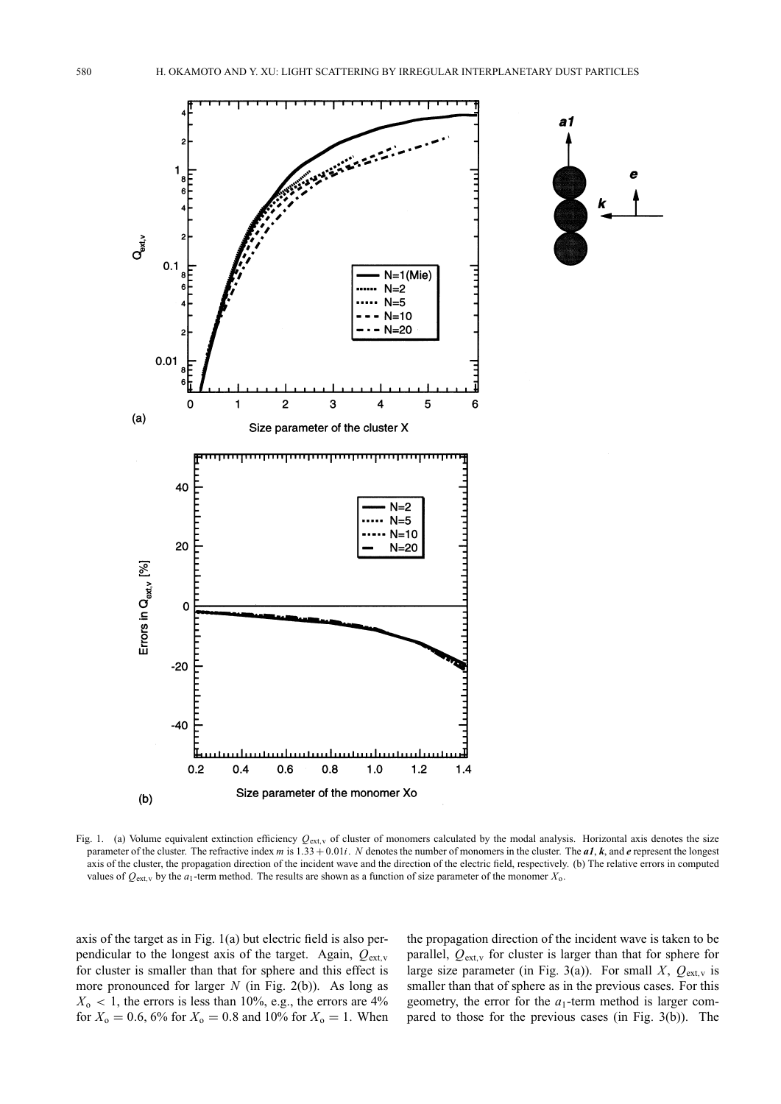

Fig. 1. (a) Volume equivalent extinction efficiency  $Q_{\text{ext},v}$  of cluster of monomers calculated by the modal analysis. Horizontal axis denotes the size parameter of the cluster. The refractive index *m* is 1.33+0.01*i*. *N* denotes the number of monomers in the cluster. The *a1*, *k*, and *e* represent the longest axis of the cluster, the propagation direction of the incident wave and the direction of the electric field, respectively. (b) The relative errors in computed values of  $Q_{\text{ext},v}$  by the  $a_1$ -term method. The results are shown as a function of size parameter of the monomer  $X_0$ .

axis of the target as in Fig. 1(a) but electric field is also perpendicular to the longest axis of the target. Again,  $Q_{\text{ext}}$ <sub>v</sub> for cluster is smaller than that for sphere and this effect is more pronounced for larger *N* (in Fig. 2(b)). As long as  $X_0$  < 1, the errors is less than 10%, e.g., the errors are 4% for  $X_0 = 0.6$ , 6% for  $X_0 = 0.8$  and 10% for  $X_0 = 1$ . When

the propagation direction of the incident wave is taken to be parallel,  $Q_{\text{ext},v}$  for cluster is larger than that for sphere for large size parameter (in Fig. 3(a)). For small *X*,  $Q_{ext,v}$  is smaller than that of sphere as in the previous cases. For this geometry, the error for the *a*1-term method is larger compared to those for the previous cases (in Fig. 3(b)). The

 $a1$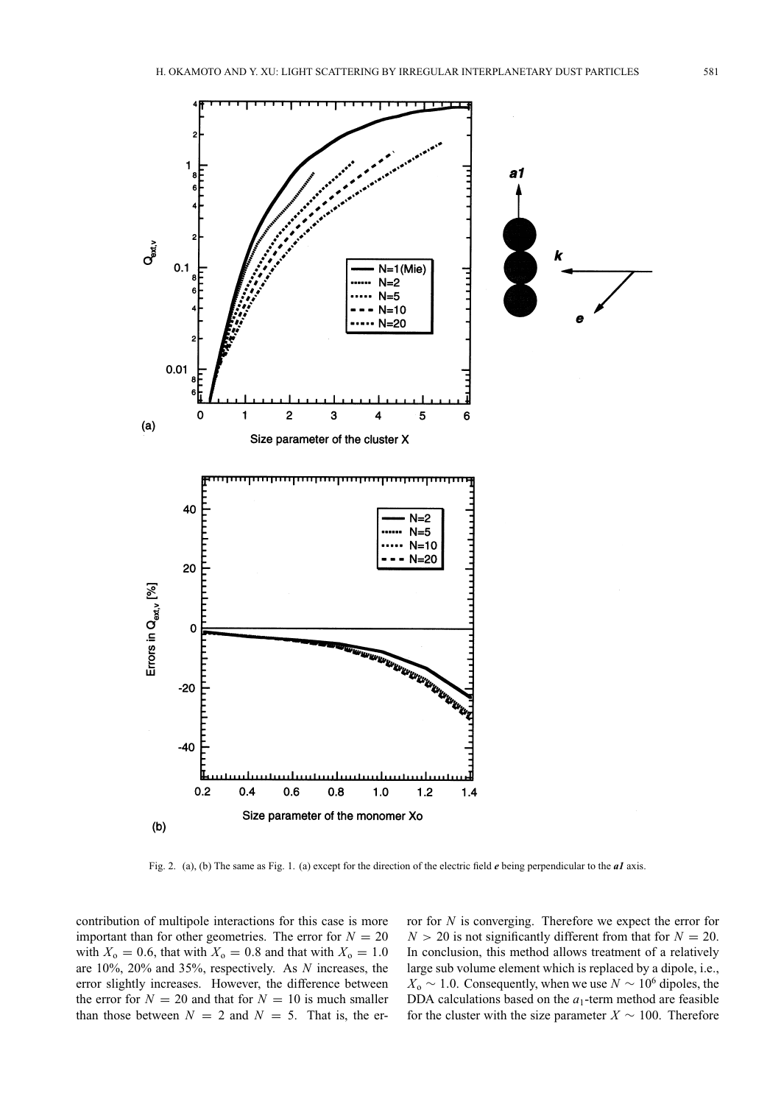

Fig. 2. (a), (b) The same as Fig. 1. (a) except for the direction of the electric field *e* being perpendicular to the *a1* axis.

contribution of multipole interactions for this case is more important than for other geometries. The error for  $N = 20$ with  $X_0 = 0.6$ , that with  $X_0 = 0.8$  and that with  $X_0 = 1.0$ are 10%, 20% and 35%, respectively. As *N* increases, the error slightly increases. However, the difference between the error for  $N = 20$  and that for  $N = 10$  is much smaller than those between  $N = 2$  and  $N = 5$ . That is, the error for *N* is converging. Therefore we expect the error for  $N > 20$  is not significantly different from that for  $N = 20$ . In conclusion, this method allows treatment of a relatively large sub volume element which is replaced by a dipole, i.e.,  $X_0$  ∼ 1.0. Consequently, when we use  $N \sim 10^6$  dipoles, the DDA calculations based on the *a*1-term method are feasible for the cluster with the size parameter  $X \sim 100$ . Therefore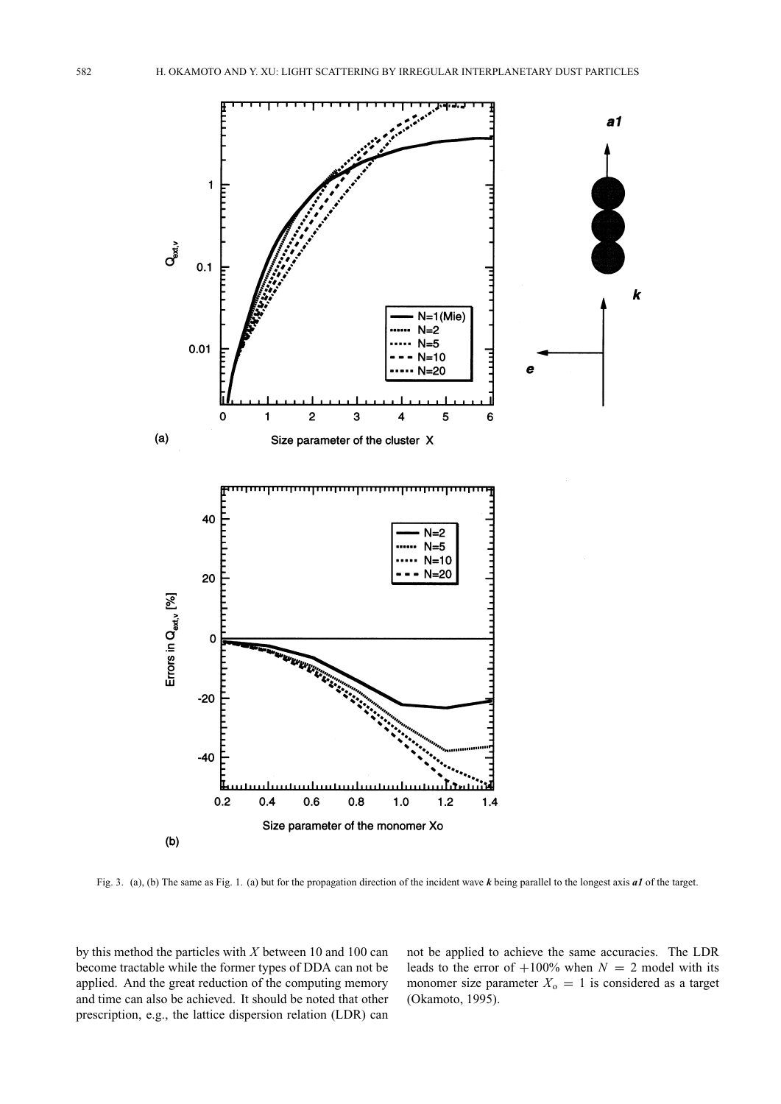

Fig. 3. (a), (b) The same as Fig. 1. (a) but for the propagation direction of the incident wave *k* being parallel to the longest axis *a1* of the target.

by this method the particles with *X* between 10 and 100 can become tractable while the former types of DDA can not be applied. And the great reduction of the computing memory and time can also be achieved. It should be noted that other prescription, e.g., the lattice dispersion relation (LDR) can not be applied to achieve the same accuracies. The LDR leads to the error of  $+100\%$  when  $N = 2$  model with its monomer size parameter  $X_0 = 1$  is considered as a target (Okamoto, 1995).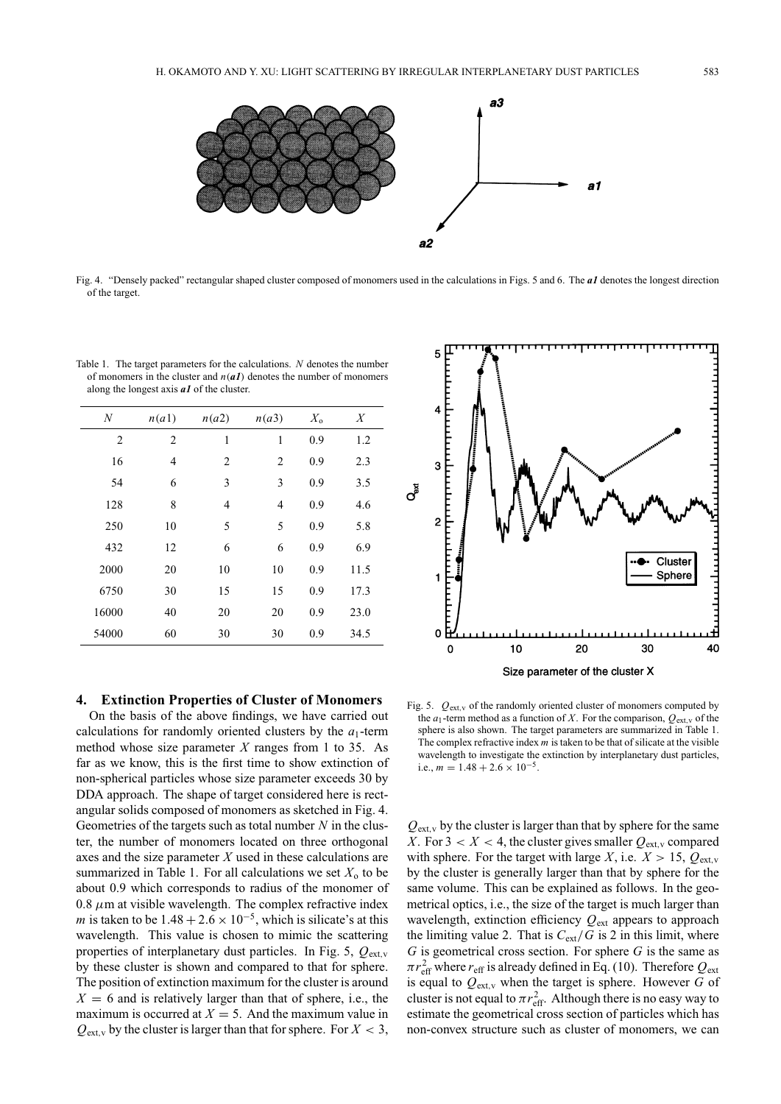

Fig. 4. "Densely packed" rectangular shaped cluster composed of monomers used in the calculations in Figs. 5 and 6. The *a1* denotes the longest direction of the target.

| $\boldsymbol{N}$ | n(a) | n(a2)          | n(a3)        | $X_{\alpha}$ | $\boldsymbol{X}$ |
|------------------|------|----------------|--------------|--------------|------------------|
| 2                | 2    | 1              | $\mathbf{1}$ | 0.9          | 1.2              |
| 16               | 4    | 2              | 2            | 0.9          | 2.3              |
| 54               | 6    | 3              | 3            | 0.9          | 3.5              |
| 128              | 8    | $\overline{4}$ | 4            | 0.9          | 4.6              |
| 250              | 10   | 5              | 5            | 0.9          | 5.8              |
| 432              | 12   | 6              | 6            | 0.9          | 6.9              |
| 2000             | 20   | 10             | 10           | 0.9          | 11.5             |
| 6750             | 30   | 15             | 15           | 0.9          | 17.3             |
| 16000            | 40   | 20             | 20           | 0.9          | 23.0             |
| 54000            | 60   | 30             | 30           | 0.9          | 34.5             |

Table 1. The target parameters for the calculations. *N* denotes the number of monomers in the cluster and  $n(aI)$  denotes the number of monomers along the longest axis *a1* of the cluster.

## **4. Extinction Properties of Cluster of Monomers**

On the basis of the above findings, we have carried out calculations for randomly oriented clusters by the  $a_1$ -term method whose size parameter *X* ranges from 1 to 35. As far as we know, this is the first time to show extinction of non-spherical particles whose size parameter exceeds 30 by DDA approach. The shape of target considered here is rectangular solids composed of monomers as sketched in Fig. 4. Geometries of the targets such as total number *N* in the cluster, the number of monomers located on three orthogonal axes and the size parameter *X* used in these calculations are summarized in Table 1. For all calculations we set  $X_0$  to be about 0.9 which corresponds to radius of the monomer of 0.8  $\mu$ m at visible wavelength. The complex refractive index *m* is taken to be  $1.48 + 2.6 \times 10^{-5}$ , which is silicate's at this wavelength. This value is chosen to mimic the scattering properties of interplanetary dust particles. In Fig. 5,  $Q_{\text{ext,v}}$ by these cluster is shown and compared to that for sphere. The position of extinction maximum for the cluster is around  $X = 6$  and is relatively larger than that of sphere, i.e., the maximum is occurred at  $X = 5$ . And the maximum value in  $Q_{\text{ext},v}$  by the cluster is larger than that for sphere. For  $X < 3$ ,



Fig. 5. *Q*ext,<sup>v</sup> of the randomly oriented cluster of monomers computed by the  $a_1$ -term method as a function of *X*. For the comparison,  $Q_{\text{ext}}$  of the sphere is also shown. The target parameters are summarized in Table 1. The complex refractive index *m* is taken to be that of silicate at the visible wavelength to investigate the extinction by interplanetary dust particles, i.e.,  $m = 1.48 + 2.6 \times 10^{-5}$ .

 $Q_{\text{ext}}$ <sub>v</sub> by the cluster is larger than that by sphere for the same *X*. For  $3 < X < 4$ , the cluster gives smaller  $Q_{ext,v}$  compared with sphere. For the target with large *X*, i.e.  $X > 15$ ,  $Q_{\text{ext,v}}$ by the cluster is generally larger than that by sphere for the same volume. This can be explained as follows. In the geometrical optics, i.e., the size of the target is much larger than wavelength, extinction efficiency *Q*ext appears to approach the limiting value 2. That is  $C_{\text{ext}}/G$  is 2 in this limit, where *G* is geometrical cross section. For sphere *G* is the same as  $\pi r_{\text{eff}}^2$  where  $r_{\text{eff}}$  is already defined in Eq. (10). Therefore  $Q_{\text{ext}}$ is equal to  $Q_{\text{ext},v}$  when the target is sphere. However  $G$  of cluster is not equal to  $\pi r_{\text{eff}}^2$ . Although there is no easy way to estimate the geometrical cross section of particles which has non-convex structure such as cluster of monomers, we can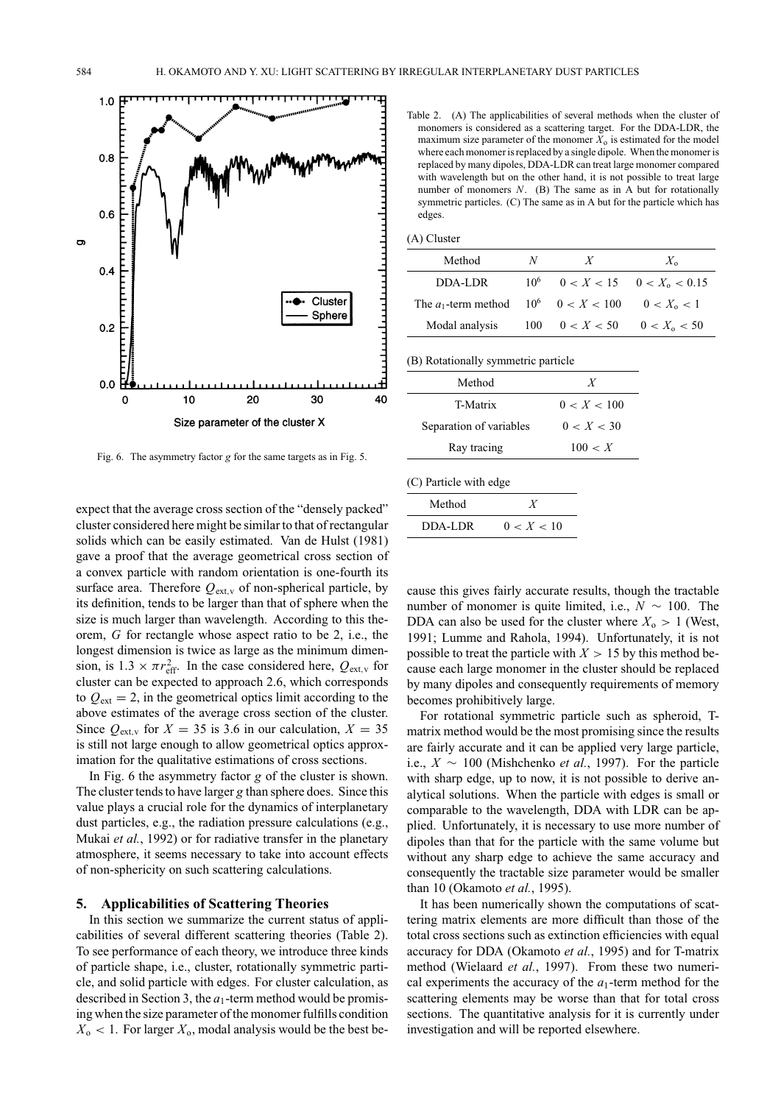

Fig. 6. The asymmetry factor *g* for the same targets as in Fig. 5.

|        | Table 2. (A) The applicabilities of several methods when the cluster of  |
|--------|--------------------------------------------------------------------------|
|        | monomers is considered as a scattering target. For the DDA-LDR, the      |
|        | maximum size parameter of the monomer $X_0$ is estimated for the model   |
|        | where each monomer is replaced by a single dipole. When the monomer is   |
|        | replaced by many dipoles, DDA-LDR can treat large monomer compared       |
|        | with wavelength but on the other hand, it is not possible to treat large |
|        | number of monomers $N$ . (B) The same as in A but for rotationally       |
|        | symmetric particles. (C) The same as in A but for the particle which has |
| edges. |                                                                          |
|        |                                                                          |

|  | (A) Cluster |
|--|-------------|
|--|-------------|

| Method                                                    | N               | $\boldsymbol{X}$                | $X_{\alpha}$                  |
|-----------------------------------------------------------|-----------------|---------------------------------|-------------------------------|
| DDA-LDR                                                   | 10 <sup>6</sup> |                                 | $0 < X < 15$ $0 < X_0 < 0.15$ |
| The $a_1$ -term method $10^6$ $0 < X < 100$ $0 < X_0 < 1$ |                 |                                 |                               |
| Modal analysis                                            |                 | 100 $0 < X < 50$ $0 < X_0 < 50$ |                               |

| (B) Rotationally symmetric particle |  |
|-------------------------------------|--|
|                                     |  |

| Method                  |            | $\boldsymbol{X}$ |
|-------------------------|------------|------------------|
| T-Matrix                |            | 0 < X < 100      |
| Separation of variables |            | 0 < X < 30       |
| Ray tracing             |            | 100 < X          |
| (C) Particle with edge  |            |                  |
| Method                  | X          |                  |
| DDA-LDR                 | 0 < X < 10 |                  |

expect that the average cross section of the "densely packed" cluster considered here might be similar to that of rectangular solids which can be easily estimated. Van de Hulst (1981) gave a proof that the average geometrical cross section of a convex particle with random orientation is one-fourth its surface area. Therefore  $Q_{\text{ext},v}$  of non-spherical particle, by its definition, tends to be larger than that of sphere when the size is much larger than wavelength. According to this theorem, *G* for rectangle whose aspect ratio to be 2, i.e., the longest dimension is twice as large as the minimum dimension, is  $1.3 \times \pi r_{\text{eff}}^2$ . In the case considered here,  $Q_{\text{ext},v}$  for cluster can be expected to approach 2.6, which corresponds to  $Q_{\text{ext}} = 2$ , in the geometrical optics limit according to the above estimates of the average cross section of the cluster. Since  $Q_{\text{ext},v}$  for  $X = 35$  is 3.6 in our calculation,  $X = 35$ is still not large enough to allow geometrical optics approximation for the qualitative estimations of cross sections.

In Fig. 6 the asymmetry factor *g* of the cluster is shown. The cluster tends to have larger *g* than sphere does. Since this value plays a crucial role for the dynamics of interplanetary dust particles, e.g., the radiation pressure calculations (e.g., Mukai *et al.*, 1992) or for radiative transfer in the planetary atmosphere, it seems necessary to take into account effects of non-sphericity on such scattering calculations.

### **5. Applicabilities of Scattering Theories**

In this section we summarize the current status of applicabilities of several different scattering theories (Table 2). To see performance of each theory, we introduce three kinds of particle shape, i.e., cluster, rotationally symmetric particle, and solid particle with edges. For cluster calculation, as described in Section 3, the  $a_1$ -term method would be promising when the size parameter of the monomer fulfills condition  $X_0$  < 1. For larger  $X_0$ , modal analysis would be the best because this gives fairly accurate results, though the tractable number of monomer is quite limited, i.e.,  $N \sim 100$ . The DDA can also be used for the cluster where  $X_0 > 1$  (West, 1991; Lumme and Rahola, 1994). Unfortunately, it is not possible to treat the particle with  $X > 15$  by this method because each large monomer in the cluster should be replaced by many dipoles and consequently requirements of memory becomes prohibitively large.

For rotational symmetric particle such as spheroid, Tmatrix method would be the most promising since the results are fairly accurate and it can be applied very large particle, i.e.,  $X \sim 100$  (Mishchenko *et al.*, 1997). For the particle with sharp edge, up to now, it is not possible to derive analytical solutions. When the particle with edges is small or comparable to the wavelength, DDA with LDR can be applied. Unfortunately, it is necessary to use more number of dipoles than that for the particle with the same volume but without any sharp edge to achieve the same accuracy and consequently the tractable size parameter would be smaller than 10 (Okamoto *et al.*, 1995).

It has been numerically shown the computations of scattering matrix elements are more difficult than those of the total cross sections such as extinction efficiencies with equal accuracy for DDA (Okamoto *et al.*, 1995) and for T-matrix method (Wielaard *et al.*, 1997). From these two numerical experiments the accuracy of the  $a_1$ -term method for the scattering elements may be worse than that for total cross sections. The quantitative analysis for it is currently under investigation and will be reported elsewhere.